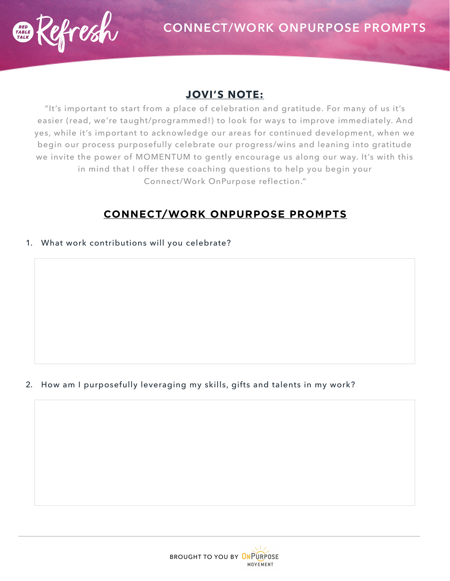

### **JOVI'S NOTE:**

"It's important to start from a place of celebration and gratitude. For many of us it's easier (read, we're taught/programmed!) to look for ways to improve immediately. And yes, while it's important to acknowledge our areas for continued development, when we begin our process purposefully celebrate our progress/wins and leaning into gratitude we invite the power of MOMENTUM to gently encourage us along our way. It's with this in mind that I offer these coaching questions to help you begin your Connect/Work OnPurpose reflection."

# **CONNECT/WORK ONPURPOSE PROMPTS**

1. What work contributions will you celebrate?

### 2. How am I purposefully leveraging my skills, gifts and talents in my work?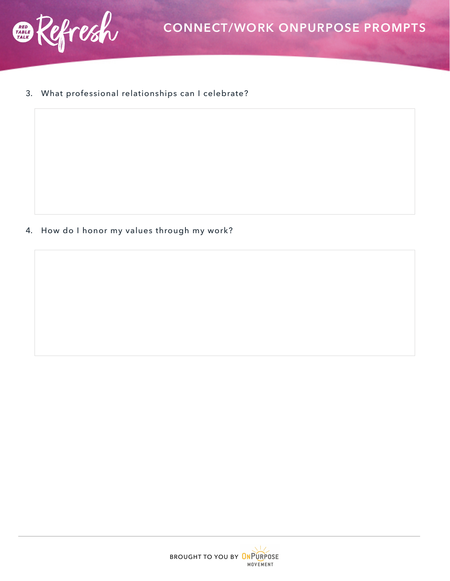

#### 3. What professional relationships can I celebrate?

4. How do I honor my values through my work?

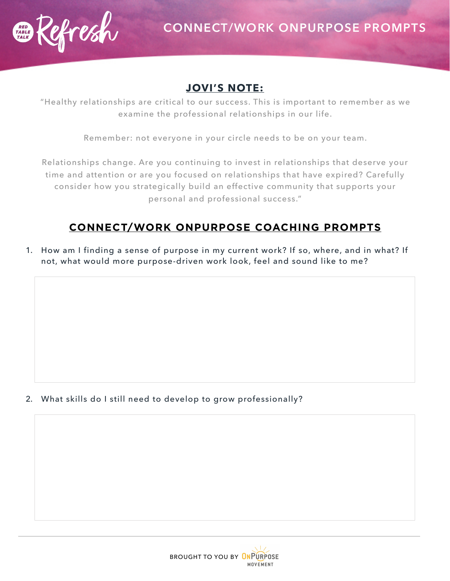

### **JOVI'S NOTE:**

"Healthy relationships are critical to our success. This is important to remember as we examine the professional relationships in our life.

Remember: not everyone in your circle needs to be on your team.

Relationships change. Are you continuing to invest in relationships that deserve your time and attention or are you focused on relationships that have expired? Carefully consider how you strategically build an effective community that supports your personal and professional success."

## **CONNECT/WORK ONPURPOSE COACHING PROMPTS**

1. How am I finding a sense of purpose in my current work? If so, where, and in what? If not, what would more purpose-driven work look, feel and sound like to me?

2. What skills do I still need to develop to grow professionally?